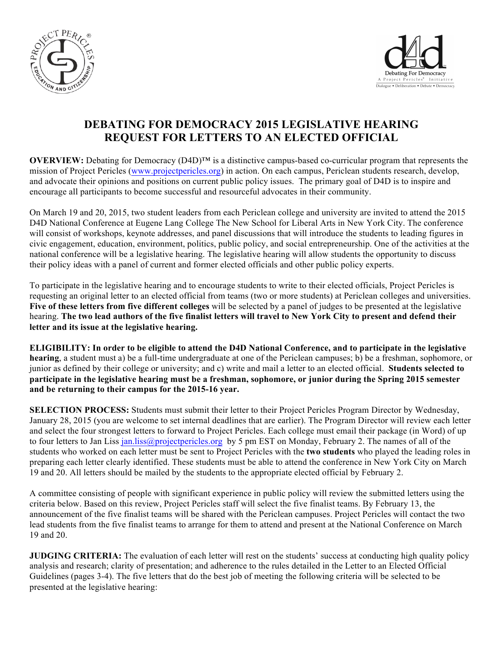



# **DEBATING FOR DEMOCRACY 2015 LEGISLATIVE HEARING REQUEST FOR LETTERS TO AN ELECTED OFFICIAL**

**OVERVIEW:** Debating for Democracy (D4D)™ is a distinctive campus-based co-curricular program that represents the mission of Project Pericles (www.projectpericles.org) in action. On each campus, Periclean students research, develop, and advocate their opinions and positions on current public policy issues. The primary goal of D4D is to inspire and encourage all participants to become successful and resourceful advocates in their community.

On March 19 and 20, 2015, two student leaders from each Periclean college and university are invited to attend the 2015 D4D National Conference at Eugene Lang College The New School for Liberal Arts in New York City. The conference will consist of workshops, keynote addresses, and panel discussions that will introduce the students to leading figures in civic engagement, education, environment, politics, public policy, and social entrepreneurship. One of the activities at the national conference will be a legislative hearing. The legislative hearing will allow students the opportunity to discuss their policy ideas with a panel of current and former elected officials and other public policy experts.

To participate in the legislative hearing and to encourage students to write to their elected officials, Project Pericles is requesting an original letter to an elected official from teams (two or more students) at Periclean colleges and universities. **Five of these letters from five different colleges** will be selected by a panel of judges to be presented at the legislative hearing. **The two lead authors of the five finalist letters will travel to New York City to present and defend their letter and its issue at the legislative hearing.**

**ELIGIBILITY: In order to be eligible to attend the D4D National Conference, and to participate in the legislative hearing**, a student must a) be a full-time undergraduate at one of the Periclean campuses; b) be a freshman, sophomore, or junior as defined by their college or university; and c) write and mail a letter to an elected official. **Students selected to participate in the legislative hearing must be a freshman, sophomore, or junior during the Spring 2015 semester and be returning to their campus for the 2015-16 year.** 

**SELECTION PROCESS:** Students must submit their letter to their Project Pericles Program Director by Wednesday, January 28, 2015 (you are welcome to set internal deadlines that are earlier). The Program Director will review each letter and select the four strongest letters to forward to Project Pericles. Each college must email their package (in Word) of up to four letters to Jan Liss jan.liss@projectpericles.org by 5 pm EST on Monday, February 2. The names of all of the students who worked on each letter must be sent to Project Pericles with the **two students** who played the leading roles in preparing each letter clearly identified. These students must be able to attend the conference in New York City on March 19 and 20. All letters should be mailed by the students to the appropriate elected official by February 2.

A committee consisting of people with significant experience in public policy will review the submitted letters using the criteria below. Based on this review, Project Pericles staff will select the five finalist teams. By February 13, the announcement of the five finalist teams will be shared with the Periclean campuses. Project Pericles will contact the two lead students from the five finalist teams to arrange for them to attend and present at the National Conference on March 19 and 20.

**JUDGING CRITERIA:** The evaluation of each letter will rest on the students' success at conducting high quality policy analysis and research; clarity of presentation; and adherence to the rules detailed in the Letter to an Elected Official Guidelines (pages 3-4). The five letters that do the best job of meeting the following criteria will be selected to be presented at the legislative hearing: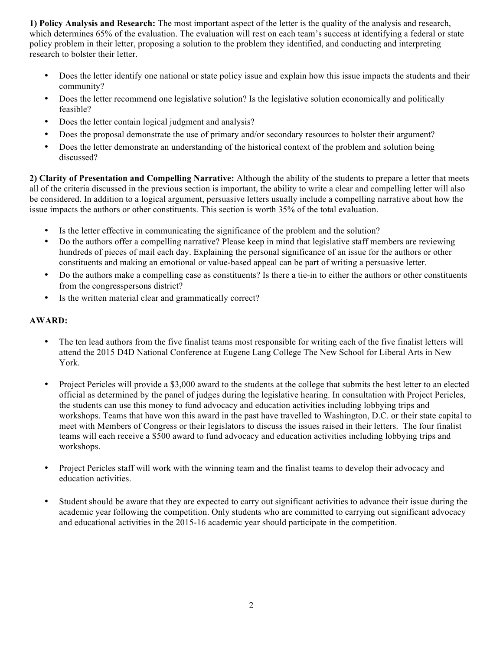**1) Policy Analysis and Research:** The most important aspect of the letter is the quality of the analysis and research, which determines 65% of the evaluation. The evaluation will rest on each team's success at identifying a federal or state policy problem in their letter, proposing a solution to the problem they identified, and conducting and interpreting research to bolster their letter.

- Does the letter identify one national or state policy issue and explain how this issue impacts the students and their community?
- Does the letter recommend one legislative solution? Is the legislative solution economically and politically feasible?
- Does the letter contain logical judgment and analysis?
- Does the proposal demonstrate the use of primary and/or secondary resources to bolster their argument?
- Does the letter demonstrate an understanding of the historical context of the problem and solution being discussed?

**2) Clarity of Presentation and Compelling Narrative:** Although the ability of the students to prepare a letter that meets all of the criteria discussed in the previous section is important, the ability to write a clear and compelling letter will also be considered. In addition to a logical argument, persuasive letters usually include a compelling narrative about how the issue impacts the authors or other constituents. This section is worth 35% of the total evaluation.

- Is the letter effective in communicating the significance of the problem and the solution?
- Do the authors offer a compelling narrative? Please keep in mind that legislative staff members are reviewing hundreds of pieces of mail each day. Explaining the personal significance of an issue for the authors or other constituents and making an emotional or value-based appeal can be part of writing a persuasive letter.
- Do the authors make a compelling case as constituents? Is there a tie-in to either the authors or other constituents from the congresspersons district?
- Is the written material clear and grammatically correct?

#### **AWARD:**

- The ten lead authors from the five finalist teams most responsible for writing each of the five finalist letters will attend the 2015 D4D National Conference at Eugene Lang College The New School for Liberal Arts in New York.
- Project Pericles will provide a \$3,000 award to the students at the college that submits the best letter to an elected official as determined by the panel of judges during the legislative hearing. In consultation with Project Pericles, the students can use this money to fund advocacy and education activities including lobbying trips and workshops. Teams that have won this award in the past have travelled to Washington, D.C. or their state capital to meet with Members of Congress or their legislators to discuss the issues raised in their letters. The four finalist teams will each receive a \$500 award to fund advocacy and education activities including lobbying trips and workshops.
- Project Pericles staff will work with the winning team and the finalist teams to develop their advocacy and education activities.
- Student should be aware that they are expected to carry out significant activities to advance their issue during the academic year following the competition. Only students who are committed to carrying out significant advocacy and educational activities in the 2015-16 academic year should participate in the competition.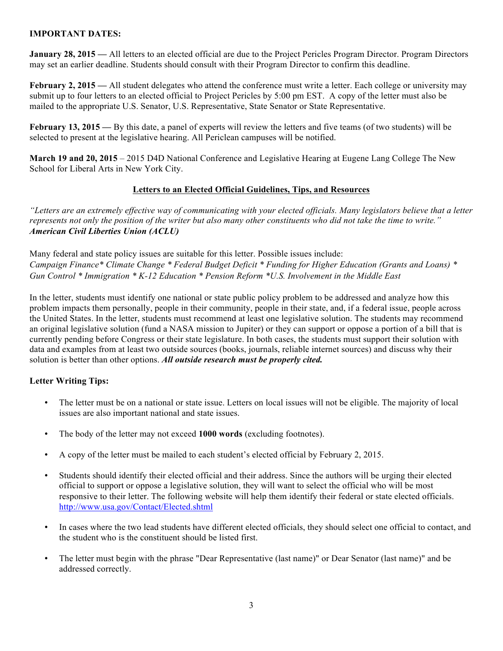## **IMPORTANT DATES:**

**January 28, 2015 — All letters to an elected official are due to the Project Pericles Program Director. Program Directors** may set an earlier deadline. Students should consult with their Program Director to confirm this deadline.

**February 2, 2015 — All student delegates who attend the conference must write a letter. Each college or university may** submit up to four letters to an elected official to Project Pericles by 5:00 pm EST. A copy of the letter must also be mailed to the appropriate U.S. Senator, U.S. Representative, State Senator or State Representative.

**February 13, 2015** — By this date, a panel of experts will review the letters and five teams (of two students) will be selected to present at the legislative hearing. All Periclean campuses will be notified.

**March 19 and 20, 2015** – 2015 D4D National Conference and Legislative Hearing at Eugene Lang College The New School for Liberal Arts in New York City.

# **Letters to an Elected Official Guidelines, Tips, and Resources**

*"Letters are an extremely effective way of communicating with your elected officials. Many legislators believe that a letter represents not only the position of the writer but also many other constituents who did not take the time to write." American Civil Liberties Union (ACLU)*

Many federal and state policy issues are suitable for this letter. Possible issues include: *Campaign Finance\* Climate Change \* Federal Budget Deficit \* Funding for Higher Education (Grants and Loans) \* Gun Control \* Immigration \* K-12 Education \* Pension Reform \*U.S. Involvement in the Middle East*

In the letter, students must identify one national or state public policy problem to be addressed and analyze how this problem impacts them personally, people in their community, people in their state, and, if a federal issue, people across the United States. In the letter, students must recommend at least one legislative solution. The students may recommend an original legislative solution (fund a NASA mission to Jupiter) or they can support or oppose a portion of a bill that is currently pending before Congress or their state legislature. In both cases, the students must support their solution with data and examples from at least two outside sources (books, journals, reliable internet sources) and discuss why their solution is better than other options. *All outside research must be properly cited.*

# **Letter Writing Tips:**

- The letter must be on a national or state issue. Letters on local issues will not be eligible. The majority of local issues are also important national and state issues.
- The body of the letter may not exceed **1000 words** (excluding footnotes).
- A copy of the letter must be mailed to each student's elected official by February 2, 2015.
- Students should identify their elected official and their address. Since the authors will be urging their elected official to support or oppose a legislative solution, they will want to select the official who will be most responsive to their letter. The following website will help them identify their federal or state elected officials. http://www.usa.gov/Contact/Elected.shtml
- In cases where the two lead students have different elected officials, they should select one official to contact, and the student who is the constituent should be listed first.
- The letter must begin with the phrase "Dear Representative (last name)" or Dear Senator (last name)" and be addressed correctly.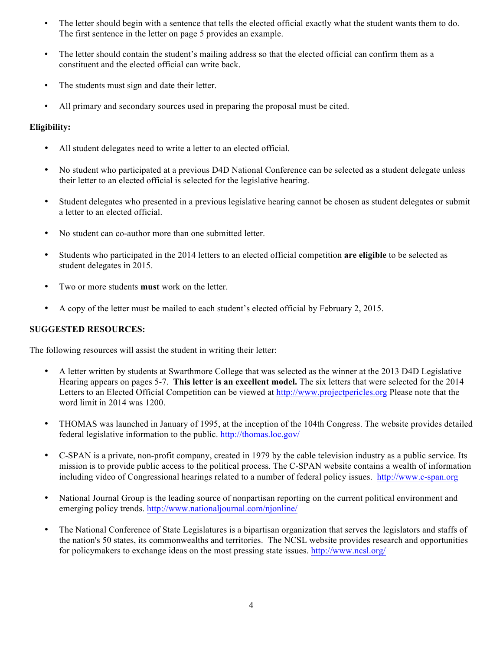- The letter should begin with a sentence that tells the elected official exactly what the student wants them to do. The first sentence in the letter on page 5 provides an example.
- The letter should contain the student's mailing address so that the elected official can confirm them as a constituent and the elected official can write back.
- The students must sign and date their letter.
- All primary and secondary sources used in preparing the proposal must be cited.

#### **Eligibility:**

- All student delegates need to write a letter to an elected official.
- No student who participated at a previous D4D National Conference can be selected as a student delegate unless their letter to an elected official is selected for the legislative hearing.
- Student delegates who presented in a previous legislative hearing cannot be chosen as student delegates or submit a letter to an elected official.
- No student can co-author more than one submitted letter.
- Students who participated in the 2014 letters to an elected official competition **are eligible** to be selected as student delegates in 2015.
- Two or more students **must** work on the letter.
- A copy of the letter must be mailed to each student's elected official by February 2, 2015.

# **SUGGESTED RESOURCES:**

The following resources will assist the student in writing their letter:

- A letter written by students at Swarthmore College that was selected as the winner at the 2013 D4D Legislative Hearing appears on pages 5-7. **This letter is an excellent model.** The six letters that were selected for the 2014 Letters to an Elected Official Competition can be viewed at http://www.projectpericles.org Please note that the word limit in 2014 was 1200.
- THOMAS was launched in January of 1995, at the inception of the 104th Congress. The website provides detailed federal legislative information to the public. http://thomas.loc.gov/
- C-SPAN is a private, non-profit company, created in 1979 by the cable television industry as a public service. Its mission is to provide public access to the political process. The C-SPAN website contains a wealth of information including video of Congressional hearings related to a number of federal policy issues. http://www.c-span.org
- National Journal Group is the leading source of nonpartisan reporting on the current political environment and emerging policy trends. http://www.nationaljournal.com/njonline/
- The National Conference of State Legislatures is a bipartisan organization that serves the legislators and staffs of the nation's 50 states, its commonwealths and territories. The NCSL website provides research and opportunities for policymakers to exchange ideas on the most pressing state issues. http://www.ncsl.org/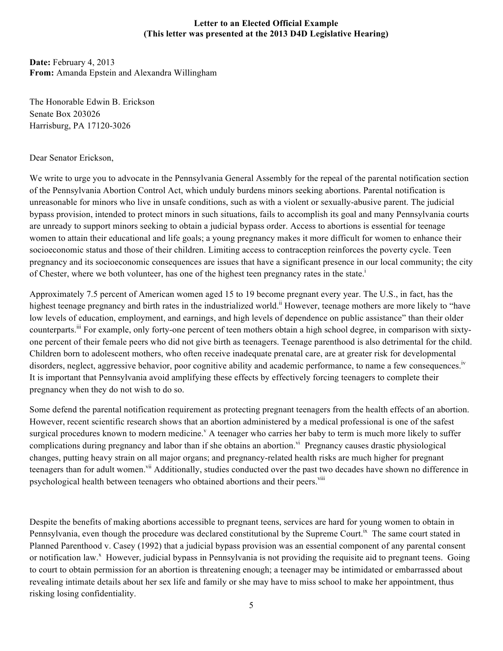## **Letter to an Elected Official Example (This letter was presented at the 2013 D4D Legislative Hearing)**

**Date:** February 4, 2013 **From:** Amanda Epstein and Alexandra Willingham

The Honorable Edwin B. Erickson Senate Box 203026 Harrisburg, PA 17120-3026

# Dear Senator Erickson,

We write to urge you to advocate in the Pennsylvania General Assembly for the repeal of the parental notification section of the Pennsylvania Abortion Control Act, which unduly burdens minors seeking abortions. Parental notification is unreasonable for minors who live in unsafe conditions, such as with a violent or sexually-abusive parent. The judicial bypass provision, intended to protect minors in such situations, fails to accomplish its goal and many Pennsylvania courts are unready to support minors seeking to obtain a judicial bypass order. Access to abortions is essential for teenage women to attain their educational and life goals; a young pregnancy makes it more difficult for women to enhance their socioeconomic status and those of their children. Limiting access to contraception reinforces the poverty cycle. Teen pregnancy and its socioeconomic consequences are issues that have a significant presence in our local community; the city of Chester, where we both volunteer, has one of the highest teen pregnancy rates in the state.<sup>1</sup>

Approximately 7.5 percent of American women aged 15 to 19 become pregnant every year. The U.S., in fact, has the highest teenage pregnancy and birth rates in the industrialized world.<sup>ii</sup> However, teenage mothers are more likely to "have low levels of education, employment, and earnings, and high levels of dependence on public assistance" than their older counterparts.iii For example, only forty-one percent of teen mothers obtain a high school degree, in comparison with sixtyone percent of their female peers who did not give birth as teenagers. Teenage parenthood is also detrimental for the child. Children born to adolescent mothers, who often receive inadequate prenatal care, are at greater risk for developmental disorders, neglect, aggressive behavior, poor cognitive ability and academic performance, to name a few consequences.<sup>iv</sup> It is important that Pennsylvania avoid amplifying these effects by effectively forcing teenagers to complete their pregnancy when they do not wish to do so.

Some defend the parental notification requirement as protecting pregnant teenagers from the health effects of an abortion. However, recent scientific research shows that an abortion administered by a medical professional is one of the safest surgical procedures known to modern medicine.<sup>v</sup> A teenager who carries her baby to term is much more likely to suffer complications during pregnancy and labor than if she obtains an abortion.<sup>vi</sup> Pregnancy causes drastic physiological changes, putting heavy strain on all major organs; and pregnancy-related health risks are much higher for pregnant teenagers than for adult women.<sup>vii</sup> Additionally, studies conducted over the past two decades have shown no difference in psychological health between teenagers who obtained abortions and their peers.<sup>viii</sup>

Despite the benefits of making abortions accessible to pregnant teens, services are hard for young women to obtain in Pennsylvania, even though the procedure was declared constitutional by the Supreme Court.<sup>ix</sup> The same court stated in Planned Parenthood v. Casey (1992) that a judicial bypass provision was an essential component of any parental consent or notification law.<sup>x</sup> However, judicial bypass in Pennsylvania is not providing the requisite aid to pregnant teens. Going to court to obtain permission for an abortion is threatening enough; a teenager may be intimidated or embarrassed about revealing intimate details about her sex life and family or she may have to miss school to make her appointment, thus risking losing confidentiality.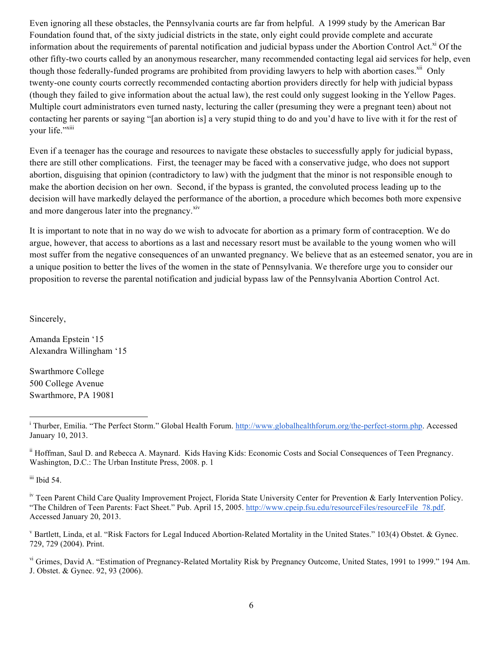Even ignoring all these obstacles, the Pennsylvania courts are far from helpful. A 1999 study by the American Bar Foundation found that, of the sixty judicial districts in the state, only eight could provide complete and accurate information about the requirements of parental notification and judicial bypass under the Abortion Control Act. $^{x_i}$  Of the other fifty-two courts called by an anonymous researcher, many recommended contacting legal aid services for help, even though those federally-funded programs are prohibited from providing lawyers to help with abortion cases.<sup>xii</sup> Only twenty-one county courts correctly recommended contacting abortion providers directly for help with judicial bypass (though they failed to give information about the actual law), the rest could only suggest looking in the Yellow Pages. Multiple court administrators even turned nasty, lecturing the caller (presuming they were a pregnant teen) about not contacting her parents or saying "[an abortion is] a very stupid thing to do and you'd have to live with it for the rest of vour life."<sup>xiii</sup>

Even if a teenager has the courage and resources to navigate these obstacles to successfully apply for judicial bypass, there are still other complications. First, the teenager may be faced with a conservative judge, who does not support abortion, disguising that opinion (contradictory to law) with the judgment that the minor is not responsible enough to make the abortion decision on her own. Second, if the bypass is granted, the convoluted process leading up to the decision will have markedly delayed the performance of the abortion, a procedure which becomes both more expensive and more dangerous later into the pregnancy. $\frac{x}{y}$ 

It is important to note that in no way do we wish to advocate for abortion as a primary form of contraception. We do argue, however, that access to abortions as a last and necessary resort must be available to the young women who will most suffer from the negative consequences of an unwanted pregnancy. We believe that as an esteemed senator, you are in a unique position to better the lives of the women in the state of Pennsylvania. We therefore urge you to consider our proposition to reverse the parental notification and judicial bypass law of the Pennsylvania Abortion Control Act.

Sincerely,

Amanda Epstein '15 Alexandra Willingham '15

Swarthmore College 500 College Avenue Swarthmore, PA 19081

<u> 1989 - Johann Stein, fransk politik (d. 1989)</u>

 $\mathrm{iii}$  Ibid 54.

<sup>&</sup>lt;sup>i</sup> Thurber, Emilia. "The Perfect Storm." Global Health Forum. http://www.globalhealthforum.org/the-perfect-storm.php. Accessed January 10, 2013.

ii Hoffman, Saul D. and Rebecca A. Maynard. Kids Having Kids: Economic Costs and Social Consequences of Teen Pregnancy. Washington, D.C.: The Urban Institute Press, 2008. p. 1

<sup>&</sup>lt;sup>iv</sup> Teen Parent Child Care Quality Improvement Project, Florida State University Center for Prevention & Early Intervention Policy. "The Children of Teen Parents: Fact Sheet." Pub. April 15, 2005. http://www.cpeip.fsu.edu/resourceFiles/resourceFile\_78.pdf. Accessed January 20, 2013.

<sup>v</sup> Bartlett, Linda, et al. "Risk Factors for Legal Induced Abortion-Related Mortality in the United States." 103(4) Obstet. & Gynec. 729, 729 (2004). Print.

vi Grimes, David A. "Estimation of Pregnancy-Related Mortality Risk by Pregnancy Outcome, United States, 1991 to 1999." 194 Am. J. Obstet. & Gynec. 92, 93 (2006).